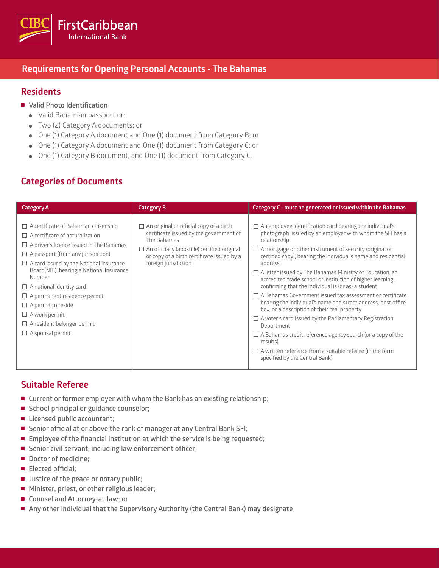

### **Requirements for Opening Personal Accounts - The Bahamas**

### **Residents**

- **Valid Photo Identification** 
	- Valid Bahamian passport or:
	- Two (2) Category A documents; or
	- One (1) Category A document and One (1) document from Category B; or
	- One (1) Category A document and One (1) document from Category C; or
	- One (1) Category B document, and One (1) document from Category C.

# **Categories of Documents**

| <b>Category A</b>                                                                                                                                                                                                                                                                                                                                                                                                                                                                             | <b>Category B</b>                                                                                                                                                                                                              | Category C - must be generated or issued within the Bahamas                                                                                                                                                                                                                                                                                                                                                                                                                                                                                                                                                                                                                                                                                                                                                                                                                                                                                     |
|-----------------------------------------------------------------------------------------------------------------------------------------------------------------------------------------------------------------------------------------------------------------------------------------------------------------------------------------------------------------------------------------------------------------------------------------------------------------------------------------------|--------------------------------------------------------------------------------------------------------------------------------------------------------------------------------------------------------------------------------|-------------------------------------------------------------------------------------------------------------------------------------------------------------------------------------------------------------------------------------------------------------------------------------------------------------------------------------------------------------------------------------------------------------------------------------------------------------------------------------------------------------------------------------------------------------------------------------------------------------------------------------------------------------------------------------------------------------------------------------------------------------------------------------------------------------------------------------------------------------------------------------------------------------------------------------------------|
| $\Box$ A certificate of Bahamian citizenship<br>$\Box$ A certificate of naturalization<br>$\Box$ A driver's licence issued in The Bahamas<br>$\Box$ A passport (from any jurisdiction)<br>$\Box$ A card issued by the National insurance<br>Board(NIB), bearing a National Insurance<br>Number<br>$\Box$ A national identity card<br>$\Box$ A permanent residence permit<br>$\Box$ A permit to reside<br>$\Box$ A work permit<br>$\Box$ A resident belonger permit<br>$\Box$ A spousal permit | $\Box$ An original or official copy of a birth<br>certificate issued by the government of<br>The Bahamas<br>An officially (apostille) certified original<br>or copy of a birth certificate issued by a<br>foreign jurisdiction | $\Box$ An employee identification card bearing the individual's<br>photograph, issued by an employer with whom the SFI has a<br>relationship<br>$\Box$ A mortgage or other instrument of security (original or<br>certified copy), bearing the individual's name and residential<br>address<br>$\Box$ A letter issued by The Bahamas Ministry of Education, an<br>accredited trade school or institution of higher learning,<br>confirming that the individual is (or as) a student.<br>$\Box$ A Bahamas Government issued tax assessment or certificate<br>bearing the individual's name and street address, post office<br>box, or a description of their real property<br>$\Box$ A voter's card issued by the Parliamentary Registration<br>Department<br>$\Box$ A Bahamas credit reference agency search (or a copy of the<br>results)<br>$\Box$ A written reference from a suitable referee (in the form<br>specified by the Central Bank) |

### **Suitable Referee**

- **Current or former employer with whom the Bank has an existing relationship;**
- **School principal or guidance counselor;**
- Licensed public accountant;
- **Senior official at or above the rank of manager at any Central Bank SFI;**
- **Employee of the financial institution at which the service is being requested;**
- **Senior civil servant, including law enforcement officer;**
- **Doctor of medicine**;
- **Elected official;**
- **Justice of the peace or notary public;**
- Minister, priest, or other religious leader;
- **Counsel and Attorney-at-law; or**
- Any other individual that the Supervisory Authority (the Central Bank) may designate